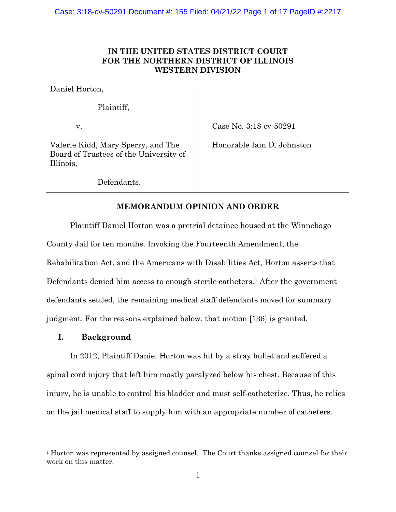# **IN THE UNITED STATES DISTRICT COURT FOR THE NORTHERN DISTRICT OF ILLINOIS WESTERN DIVISION**

Daniel Horton,

Plaintiff,

v.

Case No. 3:18-cv-50291

Valerie Kidd, Mary Sperry, and The Board of Trustees of the University of Illinois,

Honorable Iain D. Johnston

Defendants.

# **MEMORANDUM OPINION AND ORDER**

Plaintiff Daniel Horton was a pretrial detainee housed at the Winnebago County Jail for ten months. Invoking the Fourteenth Amendment, the Rehabilitation Act, and the Americans with Disabilities Act, Horton asserts that Defendants denied him access to enough sterile catheters.<sup>1</sup> After the government defendants settled, the remaining medical staff defendants moved for summary judgment. For the reasons explained below, that motion [136] is granted.

# **I. Background**

In 2012, Plaintiff Daniel Horton was hit by a stray bullet and suffered a spinal cord injury that left him mostly paralyzed below his chest. Because of this injury, he is unable to control his bladder and must self-catheterize. Thus, he relies on the jail medical staff to supply him with an appropriate number of catheters.

 $1$ <sup>1</sup> Horton was represented by assigned counsel. The Court thanks assigned counsel for their work on this matter.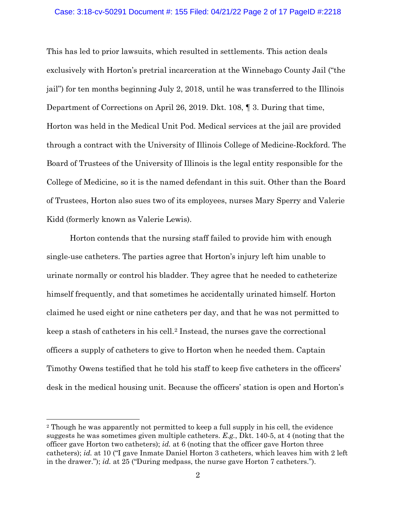#### Case: 3:18-cv-50291 Document #: 155 Filed: 04/21/22 Page 2 of 17 PageID #:2218

This has led to prior lawsuits, which resulted in settlements. This action deals exclusively with Horton's pretrial incarceration at the Winnebago County Jail ("the jail") for ten months beginning July 2, 2018, until he was transferred to the Illinois Department of Corrections on April 26, 2019. Dkt. 108, ¶ 3. During that time, Horton was held in the Medical Unit Pod. Medical services at the jail are provided through a contract with the University of Illinois College of Medicine-Rockford. The Board of Trustees of the University of Illinois is the legal entity responsible for the College of Medicine, so it is the named defendant in this suit. Other than the Board of Trustees, Horton also sues two of its employees, nurses Mary Sperry and Valerie Kidd (formerly known as Valerie Lewis).

Horton contends that the nursing staff failed to provide him with enough single-use catheters. The parties agree that Horton's injury left him unable to urinate normally or control his bladder. They agree that he needed to catheterize himself frequently, and that sometimes he accidentally urinated himself. Horton claimed he used eight or nine catheters per day, and that he was not permitted to keep a stash of catheters in his cell.2 Instead, the nurses gave the correctional officers a supply of catheters to give to Horton when he needed them. Captain Timothy Owens testified that he told his staff to keep five catheters in the officers' desk in the medical housing unit. Because the officers' station is open and Horton's

<sup>2</sup> Though he was apparently not permitted to keep a full supply in his cell, the evidence suggests he was sometimes given multiple catheters. *E.g.*, Dkt. 140-5, at 4 (noting that the officer gave Horton two catheters); *id.* at 6 (noting that the officer gave Horton three catheters); *id.* at 10 ("I gave Inmate Daniel Horton 3 catheters, which leaves him with 2 left in the drawer."); *id.* at 25 ("During medpass, the nurse gave Horton 7 catheters.").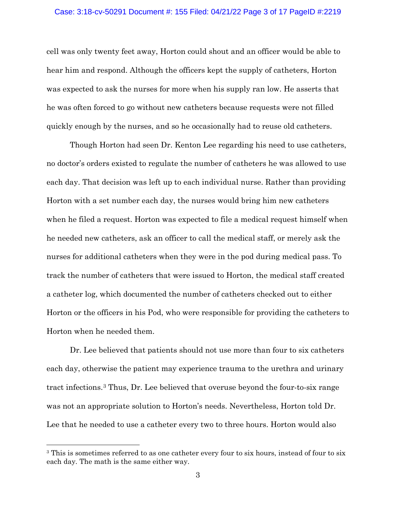#### Case: 3:18-cv-50291 Document #: 155 Filed: 04/21/22 Page 3 of 17 PageID #:2219

cell was only twenty feet away, Horton could shout and an officer would be able to hear him and respond. Although the officers kept the supply of catheters, Horton was expected to ask the nurses for more when his supply ran low. He asserts that he was often forced to go without new catheters because requests were not filled quickly enough by the nurses, and so he occasionally had to reuse old catheters.

Though Horton had seen Dr. Kenton Lee regarding his need to use catheters, no doctor's orders existed to regulate the number of catheters he was allowed to use each day. That decision was left up to each individual nurse. Rather than providing Horton with a set number each day, the nurses would bring him new catheters when he filed a request. Horton was expected to file a medical request himself when he needed new catheters, ask an officer to call the medical staff, or merely ask the nurses for additional catheters when they were in the pod during medical pass. To track the number of catheters that were issued to Horton, the medical staff created a catheter log, which documented the number of catheters checked out to either Horton or the officers in his Pod, who were responsible for providing the catheters to Horton when he needed them.

Dr. Lee believed that patients should not use more than four to six catheters each day, otherwise the patient may experience trauma to the urethra and urinary tract infections.3 Thus, Dr. Lee believed that overuse beyond the four-to-six range was not an appropriate solution to Horton's needs. Nevertheless, Horton told Dr. Lee that he needed to use a catheter every two to three hours. Horton would also

<sup>&</sup>lt;sup>3</sup> This is sometimes referred to as one catheter every four to six hours, instead of four to six each day. The math is the same either way.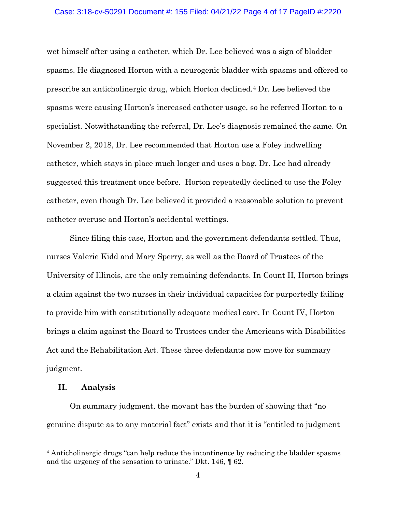#### Case: 3:18-cv-50291 Document #: 155 Filed: 04/21/22 Page 4 of 17 PageID #:2220

wet himself after using a catheter, which Dr. Lee believed was a sign of bladder spasms. He diagnosed Horton with a neurogenic bladder with spasms and offered to prescribe an anticholinergic drug, which Horton declined.4 Dr. Lee believed the spasms were causing Horton's increased catheter usage, so he referred Horton to a specialist. Notwithstanding the referral, Dr. Lee's diagnosis remained the same. On November 2, 2018, Dr. Lee recommended that Horton use a Foley indwelling catheter, which stays in place much longer and uses a bag. Dr. Lee had already suggested this treatment once before. Horton repeatedly declined to use the Foley catheter, even though Dr. Lee believed it provided a reasonable solution to prevent catheter overuse and Horton's accidental wettings.

Since filing this case, Horton and the government defendants settled. Thus, nurses Valerie Kidd and Mary Sperry, as well as the Board of Trustees of the University of Illinois, are the only remaining defendants. In Count II, Horton brings a claim against the two nurses in their individual capacities for purportedly failing to provide him with constitutionally adequate medical care. In Count IV, Horton brings a claim against the Board to Trustees under the Americans with Disabilities Act and the Rehabilitation Act. These three defendants now move for summary judgment.

## **II. Analysis**

On summary judgment, the movant has the burden of showing that "no genuine dispute as to any material fact" exists and that it is "entitled to judgment

<sup>4</sup> Anticholinergic drugs "can help reduce the incontinence by reducing the bladder spasms and the urgency of the sensation to urinate." Dkt. 146, ¶ 62.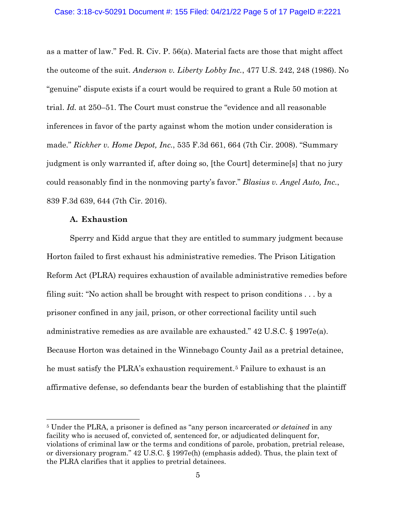as a matter of law." Fed. R. Civ. P. 56(a). Material facts are those that might affect the outcome of the suit. *Anderson v. Liberty Lobby Inc.*, 477 U.S. 242, 248 (1986). No "genuine" dispute exists if a court would be required to grant a Rule 50 motion at trial. *Id.* at 250–51. The Court must construe the "evidence and all reasonable inferences in favor of the party against whom the motion under consideration is made." *Rickher v. Home Depot, Inc.*, 535 F.3d 661, 664 (7th Cir. 2008). "Summary judgment is only warranted if, after doing so, [the Court] determine[s] that no jury could reasonably find in the nonmoving party's favor." *Blasius v. Angel Auto, Inc.*, 839 F.3d 639, 644 (7th Cir. 2016).

#### **A. Exhaustion**

Sperry and Kidd argue that they are entitled to summary judgment because Horton failed to first exhaust his administrative remedies. The Prison Litigation Reform Act (PLRA) requires exhaustion of available administrative remedies before filing suit: "No action shall be brought with respect to prison conditions . . . by a prisoner confined in any jail, prison, or other correctional facility until such administrative remedies as are available are exhausted." 42 U.S.C. § 1997e(a). Because Horton was detained in the Winnebago County Jail as a pretrial detainee, he must satisfy the PLRA's exhaustion requirement.5 Failure to exhaust is an affirmative defense, so defendants bear the burden of establishing that the plaintiff

<sup>5</sup> Under the PLRA, a prisoner is defined as "any person incarcerated *or detained* in any facility who is accused of, convicted of, sentenced for, or adjudicated delinquent for, violations of criminal law or the terms and conditions of parole, probation, pretrial release, or diversionary program." 42 U.S.C. § 1997e(h) (emphasis added). Thus, the plain text of the PLRA clarifies that it applies to pretrial detainees.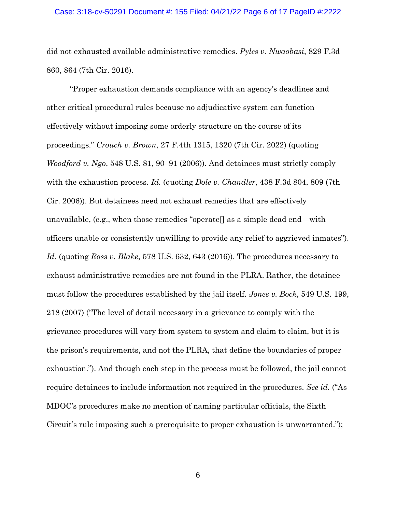#### Case: 3:18-cv-50291 Document #: 155 Filed: 04/21/22 Page 6 of 17 PageID #:2222

did not exhausted available administrative remedies. *Pyles v. Nwaobasi*, 829 F.3d 860, 864 (7th Cir. 2016).

"Proper exhaustion demands compliance with an agency's deadlines and other critical procedural rules because no adjudicative system can function effectively without imposing some orderly structure on the course of its proceedings." *Crouch v. Brown*, 27 F.4th 1315, 1320 (7th Cir. 2022) (quoting *Woodford v. Ngo*, 548 U.S. 81, 90–91 (2006)). And detainees must strictly comply with the exhaustion process. *Id.* (quoting *Dole v. Chandler*, 438 F.3d 804, 809 (7th Cir. 2006)). But detainees need not exhaust remedies that are effectively unavailable, (e.g., when those remedies "operate[] as a simple dead end—with officers unable or consistently unwilling to provide any relief to aggrieved inmates"). *Id.* (quoting *Ross v. Blake*, 578 U.S. 632, 643 (2016)). The procedures necessary to exhaust administrative remedies are not found in the PLRA. Rather, the detainee must follow the procedures established by the jail itself. *Jones v. Bock*, 549 U.S. 199, 218 (2007) ("The level of detail necessary in a grievance to comply with the grievance procedures will vary from system to system and claim to claim, but it is the prison's requirements, and not the PLRA, that define the boundaries of proper exhaustion."). And though each step in the process must be followed, the jail cannot require detainees to include information not required in the procedures. *See id.* ("As MDOC's procedures make no mention of naming particular officials, the Sixth Circuit's rule imposing such a prerequisite to proper exhaustion is unwarranted.");

6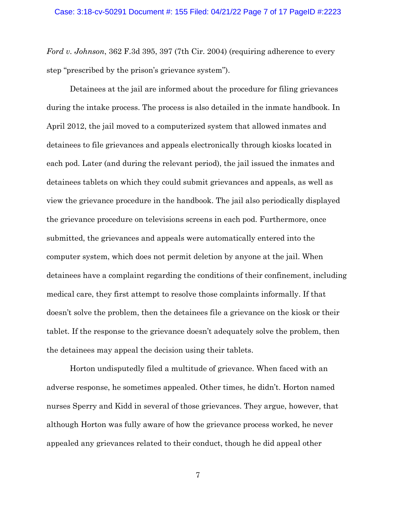*Ford v. Johnson*, 362 F.3d 395, 397 (7th Cir. 2004) (requiring adherence to every step "prescribed by the prison's grievance system").

Detainees at the jail are informed about the procedure for filing grievances during the intake process. The process is also detailed in the inmate handbook. In April 2012, the jail moved to a computerized system that allowed inmates and detainees to file grievances and appeals electronically through kiosks located in each pod. Later (and during the relevant period), the jail issued the inmates and detainees tablets on which they could submit grievances and appeals, as well as view the grievance procedure in the handbook. The jail also periodically displayed the grievance procedure on televisions screens in each pod. Furthermore, once submitted, the grievances and appeals were automatically entered into the computer system, which does not permit deletion by anyone at the jail. When detainees have a complaint regarding the conditions of their confinement, including medical care, they first attempt to resolve those complaints informally. If that doesn't solve the problem, then the detainees file a grievance on the kiosk or their tablet. If the response to the grievance doesn't adequately solve the problem, then the detainees may appeal the decision using their tablets.

Horton undisputedly filed a multitude of grievance. When faced with an adverse response, he sometimes appealed. Other times, he didn't. Horton named nurses Sperry and Kidd in several of those grievances. They argue, however, that although Horton was fully aware of how the grievance process worked, he never appealed any grievances related to their conduct, though he did appeal other

7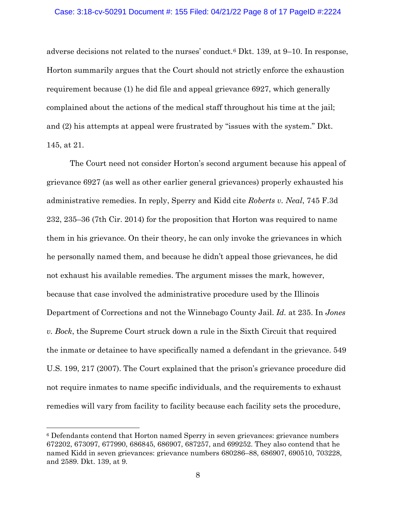#### Case: 3:18-cv-50291 Document #: 155 Filed: 04/21/22 Page 8 of 17 PageID #:2224

adverse decisions not related to the nurses' conduct.6 Dkt. 139, at 9–10. In response, Horton summarily argues that the Court should not strictly enforce the exhaustion requirement because (1) he did file and appeal grievance 6927, which generally complained about the actions of the medical staff throughout his time at the jail; and (2) his attempts at appeal were frustrated by "issues with the system." Dkt. 145, at 21.

The Court need not consider Horton's second argument because his appeal of grievance 6927 (as well as other earlier general grievances) properly exhausted his administrative remedies. In reply, Sperry and Kidd cite *Roberts v. Neal*, 745 F.3d 232, 235–36 (7th Cir. 2014) for the proposition that Horton was required to name them in his grievance. On their theory, he can only invoke the grievances in which he personally named them, and because he didn't appeal those grievances, he did not exhaust his available remedies. The argument misses the mark, however, because that case involved the administrative procedure used by the Illinois Department of Corrections and not the Winnebago County Jail. *Id.* at 235. In *Jones v. Bock*, the Supreme Court struck down a rule in the Sixth Circuit that required the inmate or detainee to have specifically named a defendant in the grievance. 549 U.S. 199, 217 (2007). The Court explained that the prison's grievance procedure did not require inmates to name specific individuals, and the requirements to exhaust remedies will vary from facility to facility because each facility sets the procedure,

<sup>6</sup> Defendants contend that Horton named Sperry in seven grievances: grievance numbers 672202, 673097, 677990, 686845, 686907, 687257, and 699252. They also contend that he named Kidd in seven grievances: grievance numbers 680286–88, 686907, 690510, 703228, and 2589. Dkt. 139, at 9.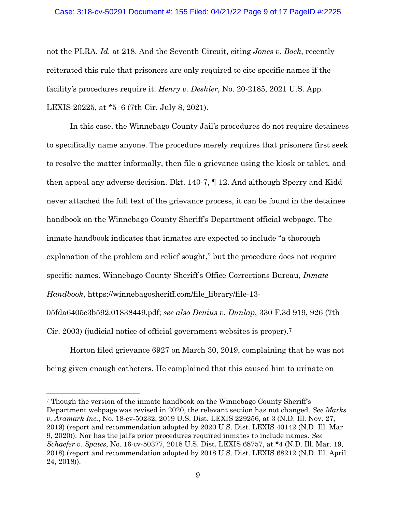## Case: 3:18-cv-50291 Document #: 155 Filed: 04/21/22 Page 9 of 17 PageID #:2225

not the PLRA. *Id.* at 218. And the Seventh Circuit, citing *Jones v. Bock*, recently reiterated this rule that prisoners are only required to cite specific names if the facility's procedures require it. *Henry v. Deshler*, No. 20-2185, 2021 U.S. App. LEXIS 20225, at \*5–6 (7th Cir. July 8, 2021).

In this case, the Winnebago County Jail's procedures do not require detainees to specifically name anyone. The procedure merely requires that prisoners first seek to resolve the matter informally, then file a grievance using the kiosk or tablet, and then appeal any adverse decision. Dkt. 140-7, ¶ 12. And although Sperry and Kidd never attached the full text of the grievance process, it can be found in the detainee handbook on the Winnebago County Sheriff's Department official webpage. The inmate handbook indicates that inmates are expected to include "a thorough explanation of the problem and relief sought," but the procedure does not require specific names. Winnebago County Sheriff's Office Corrections Bureau, *Inmate Handbook*, https://winnebagosheriff.com/file library/file-13-

05fda6405c3b592.01838449.pdf; *see also Denius v. Dunlap*, 330 F.3d 919, 926 (7th Cir. 2003) (judicial notice of official government websites is proper).7

Horton filed grievance 6927 on March 30, 2019, complaining that he was not being given enough catheters. He complained that this caused him to urinate on

<sup>7</sup> Though the version of the inmate handbook on the Winnebago County Sheriff's Department webpage was revised in 2020, the relevant section has not changed. *See Marks v. Aramark Inc.*, No. 18-cv-50232, 2019 U.S. Dist. LEXIS 229256, at 3 (N.D. Ill. Nov. 27, 2019) (report and recommendation adopted by 2020 U.S. Dist. LEXIS 40142 (N.D. Ill. Mar. 9, 2020)). Nor has the jail's prior procedures required inmates to include names. *See Schaefer v. Spates*, No. 16-cv-50377, 2018 U.S. Dist. LEXIS 68757, at \*4 (N.D. Ill. Mar. 19, 2018) (report and recommendation adopted by 2018 U.S. Dist. LEXIS 68212 (N.D. Ill. April 24, 2018)).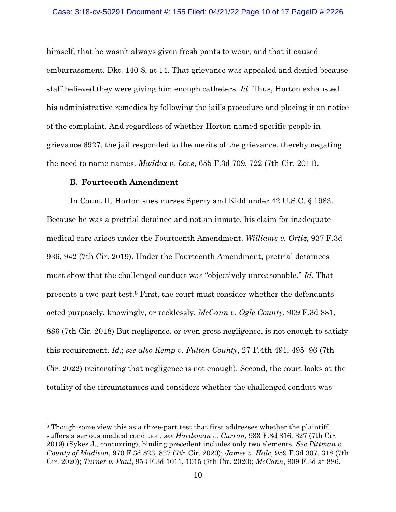## Case: 3:18-cv-50291 Document #: 155 Filed: 04/21/22 Page 10 of 17 PageID #:2226

himself, that he wasn't always given fresh pants to wear, and that it caused embarrassment. Dkt. 140-8, at 14. That grievance was appealed and denied because staff believed they were giving him enough catheters. *Id.* Thus, Horton exhausted his administrative remedies by following the jail's procedure and placing it on notice of the complaint. And regardless of whether Horton named specific people in grievance 6927, the jail responded to the merits of the grievance, thereby negating the need to name names. *Maddox v. Love*, 655 F.3d 709, 722 (7th Cir. 2011).

## **B. Fourteenth Amendment**

In Count II, Horton sues nurses Sperry and Kidd under 42 U.S.C. § 1983. Because he was a pretrial detainee and not an inmate, his claim for inadequate medical care arises under the Fourteenth Amendment. *Williams v. Ortiz*, 937 F.3d 936, 942 (7th Cir. 2019). Under the Fourteenth Amendment, pretrial detainees must show that the challenged conduct was "objectively unreasonable." *Id.* That presents a two-part test.8 First, the court must consider whether the defendants acted purposely, knowingly, or recklessly. *McCann v. Ogle County*, 909 F.3d 881, 886 (7th Cir. 2018) But negligence, or even gross negligence, is not enough to satisfy this requirement. *Id.*; *see also Kemp v. Fulton County*, 27 F.4th 491, 495–96 (7th Cir. 2022) (reiterating that negligence is not enough). Second, the court looks at the totality of the circumstances and considers whether the challenged conduct was

<sup>&</sup>lt;sup>8</sup> Though some view this as a three-part test that first addresses whether the plaintiff suffers a serious medical condition, *see Hardeman v. Curran*, 933 F.3d 816, 827 (7th Cir. 2019) (Sykes J., concurring), binding precedent includes only two elements. *See Pittman v. County of Madison*, 970 F.3d 823, 827 (7th Cir. 2020); *James v. Hale*, 959 F.3d 307, 318 (7th Cir. 2020); *Turner v. Paul*, 953 F.3d 1011, 1015 (7th Cir. 2020); *McCann*, 909 F.3d at 886.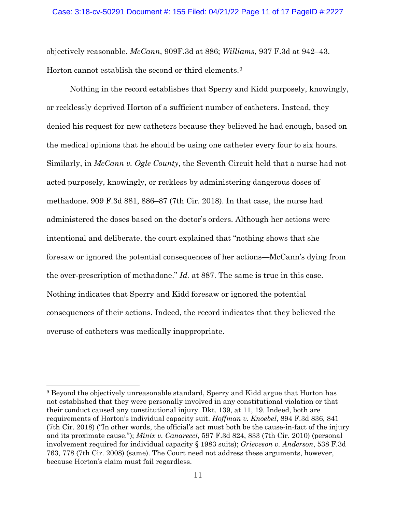objectively reasonable. *McCann*, 909F.3d at 886; *Williams*, 937 F.3d at 942–43. Horton cannot establish the second or third elements.9

Nothing in the record establishes that Sperry and Kidd purposely, knowingly, or recklessly deprived Horton of a sufficient number of catheters. Instead, they denied his request for new catheters because they believed he had enough, based on the medical opinions that he should be using one catheter every four to six hours. Similarly, in *McCann v. Ogle County*, the Seventh Circuit held that a nurse had not acted purposely, knowingly, or reckless by administering dangerous doses of methadone. 909 F.3d 881, 886–87 (7th Cir. 2018). In that case, the nurse had administered the doses based on the doctor's orders. Although her actions were intentional and deliberate, the court explained that "nothing shows that she foresaw or ignored the potential consequences of her actions—McCann's dying from the over-prescription of methadone." *Id.* at 887. The same is true in this case. Nothing indicates that Sperry and Kidd foresaw or ignored the potential consequences of their actions. Indeed, the record indicates that they believed the overuse of catheters was medically inappropriate.

<sup>9</sup> Beyond the objectively unreasonable standard, Sperry and Kidd argue that Horton has not established that they were personally involved in any constitutional violation or that their conduct caused any constitutional injury. Dkt. 139, at 11, 19. Indeed, both are requirements of Horton's individual capacity suit. *Hoffman v. Knoebel*, 894 F.3d 836, 841 (7th Cir. 2018) ("In other words, the official's act must both be the cause-in-fact of the injury and its proximate cause."); *Minix v. Canarecci*, 597 F.3d 824, 833 (7th Cir. 2010) (personal involvement required for individual capacity § 1983 suits); *Grieveson v. Anderson*, 538 F.3d 763, 778 (7th Cir. 2008) (same). The Court need not address these arguments, however, because Horton's claim must fail regardless.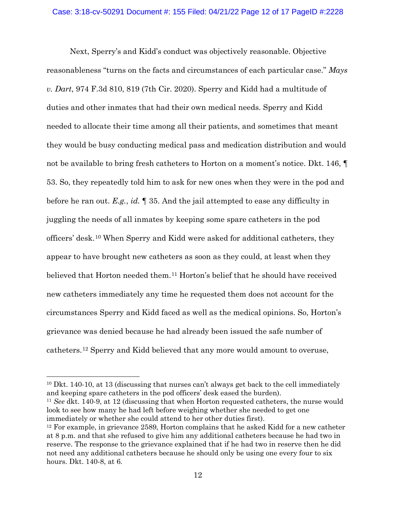Next, Sperry's and Kidd's conduct was objectively reasonable. Objective reasonableness "turns on the facts and circumstances of each particular case." *Mays v. Dart*, 974 F.3d 810, 819 (7th Cir. 2020). Sperry and Kidd had a multitude of duties and other inmates that had their own medical needs. Sperry and Kidd needed to allocate their time among all their patients, and sometimes that meant they would be busy conducting medical pass and medication distribution and would not be available to bring fresh catheters to Horton on a moment's notice. Dkt. 146, ¶ 53. So, they repeatedly told him to ask for new ones when they were in the pod and before he ran out. *E.g.*, *id.* ¶ 35. And the jail attempted to ease any difficulty in juggling the needs of all inmates by keeping some spare catheters in the pod officers' desk.10 When Sperry and Kidd were asked for additional catheters, they appear to have brought new catheters as soon as they could, at least when they believed that Horton needed them.11 Horton's belief that he should have received new catheters immediately any time he requested them does not account for the circumstances Sperry and Kidd faced as well as the medical opinions. So, Horton's grievance was denied because he had already been issued the safe number of catheters.12 Sperry and Kidd believed that any more would amount to overuse,

<sup>11</sup> *See* dkt. 140-9, at 12 (discussing that when Horton requested catheters, the nurse would look to see how many he had left before weighing whether she needed to get one immediately or whether she could attend to her other duties first).

<sup>&</sup>lt;sup>10</sup> Dkt. 140-10, at 13 (discussing that nurses can't always get back to the cell immediately and keeping spare catheters in the pod officers' desk eased the burden).

 $12$  For example, in grievance 2589, Horton complains that he asked Kidd for a new catheter at 8 p.m. and that she refused to give him any additional catheters because he had two in reserve. The response to the grievance explained that if he had two in reserve then he did not need any additional catheters because he should only be using one every four to six hours. Dkt. 140-8, at 6.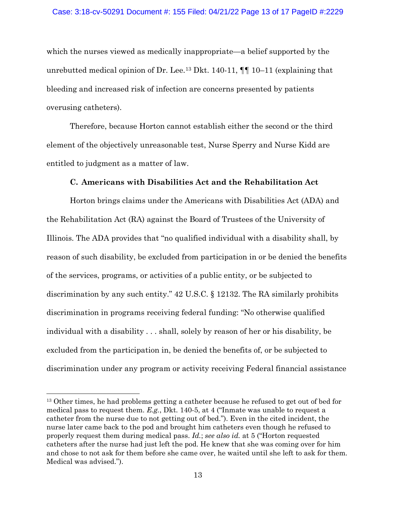## Case: 3:18-cv-50291 Document #: 155 Filed: 04/21/22 Page 13 of 17 PageID #:2229

which the nurses viewed as medically inappropriate—a belief supported by the unrebutted medical opinion of Dr. Lee.<sup>13</sup> Dkt. 140-11,  $\P\P$  10-11 (explaining that bleeding and increased risk of infection are concerns presented by patients overusing catheters).

Therefore, because Horton cannot establish either the second or the third element of the objectively unreasonable test, Nurse Sperry and Nurse Kidd are entitled to judgment as a matter of law.

## **C. Americans with Disabilities Act and the Rehabilitation Act**

Horton brings claims under the Americans with Disabilities Act (ADA) and the Rehabilitation Act (RA) against the Board of Trustees of the University of Illinois. The ADA provides that "no qualified individual with a disability shall, by reason of such disability, be excluded from participation in or be denied the benefits of the services, programs, or activities of a public entity, or be subjected to discrimination by any such entity." 42 U.S.C. § 12132. The RA similarly prohibits discrimination in programs receiving federal funding: "No otherwise qualified individual with a disability . . . shall, solely by reason of her or his disability, be excluded from the participation in, be denied the benefits of, or be subjected to discrimination under any program or activity receiving Federal financial assistance

<sup>&</sup>lt;sup>13</sup> Other times, he had problems getting a catheter because he refused to get out of bed for medical pass to request them. *E.g.*, Dkt. 140-5, at 4 ("Inmate was unable to request a catheter from the nurse due to not getting out of bed."). Even in the cited incident, the nurse later came back to the pod and brought him catheters even though he refused to properly request them during medical pass. *Id.*; *see also id.* at 5 ("Horton requested catheters after the nurse had just left the pod. He knew that she was coming over for him and chose to not ask for them before she came over, he waited until she left to ask for them. Medical was advised.").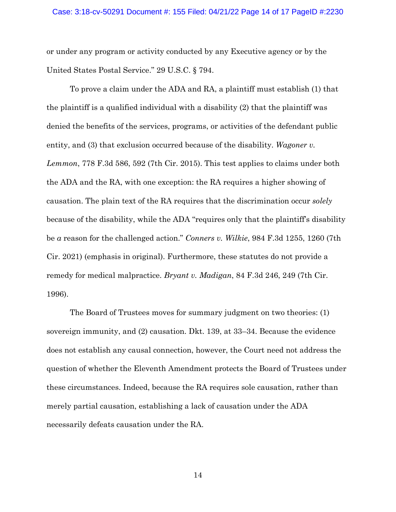or under any program or activity conducted by any Executive agency or by the United States Postal Service." 29 U.S.C. § 794.

To prove a claim under the ADA and RA, a plaintiff must establish (1) that the plaintiff is a qualified individual with a disability (2) that the plaintiff was denied the benefits of the services, programs, or activities of the defendant public entity, and (3) that exclusion occurred because of the disability. *Wagoner v. Lemmon*, 778 F.3d 586, 592 (7th Cir. 2015). This test applies to claims under both the ADA and the RA, with one exception: the RA requires a higher showing of causation. The plain text of the RA requires that the discrimination occur *solely* because of the disability, while the ADA "requires only that the plaintiff's disability be *a* reason for the challenged action." *Conners v. Wilkie*, 984 F.3d 1255, 1260 (7th Cir. 2021) (emphasis in original). Furthermore, these statutes do not provide a remedy for medical malpractice. *Bryant v. Madigan*, 84 F.3d 246, 249 (7th Cir. 1996).

The Board of Trustees moves for summary judgment on two theories: (1) sovereign immunity, and (2) causation. Dkt. 139, at 33–34. Because the evidence does not establish any causal connection, however, the Court need not address the question of whether the Eleventh Amendment protects the Board of Trustees under these circumstances. Indeed, because the RA requires sole causation, rather than merely partial causation, establishing a lack of causation under the ADA necessarily defeats causation under the RA.

14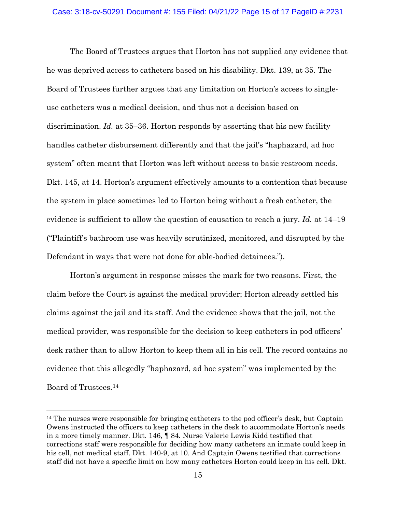## Case: 3:18-cv-50291 Document #: 155 Filed: 04/21/22 Page 15 of 17 PageID #:2231

The Board of Trustees argues that Horton has not supplied any evidence that he was deprived access to catheters based on his disability. Dkt. 139, at 35. The Board of Trustees further argues that any limitation on Horton's access to singleuse catheters was a medical decision, and thus not a decision based on discrimination. *Id.* at 35–36. Horton responds by asserting that his new facility handles catheter disbursement differently and that the jail's "haphazard, ad hoc system" often meant that Horton was left without access to basic restroom needs. Dkt. 145, at 14. Horton's argument effectively amounts to a contention that because the system in place sometimes led to Horton being without a fresh catheter, the evidence is sufficient to allow the question of causation to reach a jury. *Id.* at 14–19 ("Plaintiff's bathroom use was heavily scrutinized, monitored, and disrupted by the Defendant in ways that were not done for able-bodied detainees.").

Horton's argument in response misses the mark for two reasons. First, the claim before the Court is against the medical provider; Horton already settled his claims against the jail and its staff. And the evidence shows that the jail, not the medical provider, was responsible for the decision to keep catheters in pod officers' desk rather than to allow Horton to keep them all in his cell. The record contains no evidence that this allegedly "haphazard, ad hoc system" was implemented by the Board of Trustees.14

<sup>&</sup>lt;sup>14</sup> The nurses were responsible for bringing catheters to the pod officer's desk, but Captain Owens instructed the officers to keep catheters in the desk to accommodate Horton's needs in a more timely manner. Dkt. 146, ¶ 84. Nurse Valerie Lewis Kidd testified that corrections staff were responsible for deciding how many catheters an inmate could keep in his cell, not medical staff. Dkt. 140-9, at 10. And Captain Owens testified that corrections staff did not have a specific limit on how many catheters Horton could keep in his cell. Dkt.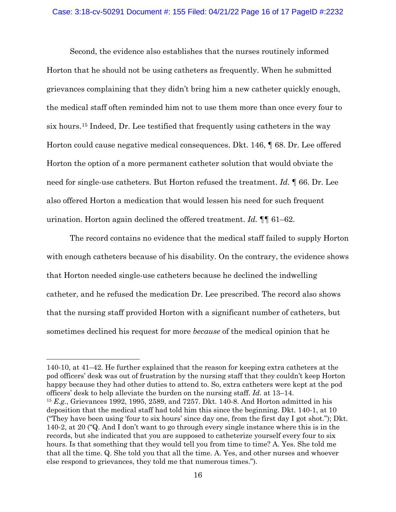#### Case: 3:18-cv-50291 Document #: 155 Filed: 04/21/22 Page 16 of 17 PageID #:2232

Second, the evidence also establishes that the nurses routinely informed Horton that he should not be using catheters as frequently. When he submitted grievances complaining that they didn't bring him a new catheter quickly enough, the medical staff often reminded him not to use them more than once every four to six hours.15 Indeed, Dr. Lee testified that frequently using catheters in the way Horton could cause negative medical consequences. Dkt. 146, ¶ 68. Dr. Lee offered Horton the option of a more permanent catheter solution that would obviate the need for single-use catheters. But Horton refused the treatment. *Id.* ¶ 66. Dr. Lee also offered Horton a medication that would lessen his need for such frequent urination. Horton again declined the offered treatment. *Id.* ¶¶ 61–62.

The record contains no evidence that the medical staff failed to supply Horton with enough catheters because of his disability. On the contrary, the evidence shows that Horton needed single-use catheters because he declined the indwelling catheter, and he refused the medication Dr. Lee prescribed. The record also shows that the nursing staff provided Horton with a significant number of catheters, but sometimes declined his request for more *because* of the medical opinion that he

<sup>140-10,</sup> at 41–42. He further explained that the reason for keeping extra catheters at the pod officers' desk was out of frustration by the nursing staff that they couldn't keep Horton happy because they had other duties to attend to. So, extra catheters were kept at the pod officers' desk to help alleviate the burden on the nursing staff. *Id.* at 13–14. <sup>15</sup> *E.g.*, Grievances 1992, 1995, 2589, and 7257. Dkt. 140-8. And Horton admitted in his deposition that the medical staff had told him this since the beginning. Dkt. 140-1, at 10 ("They have been using 'four to six hours' since day one, from the first day I got shot."); Dkt. 140-2, at 20 ("Q. And I don't want to go through every single instance where this is in the records, but she indicated that you are supposed to catheterize yourself every four to six hours. Is that something that they would tell you from time to time? A. Yes. She told me that all the time. Q. She told you that all the time. A. Yes, and other nurses and whoever else respond to grievances, they told me that numerous times.").